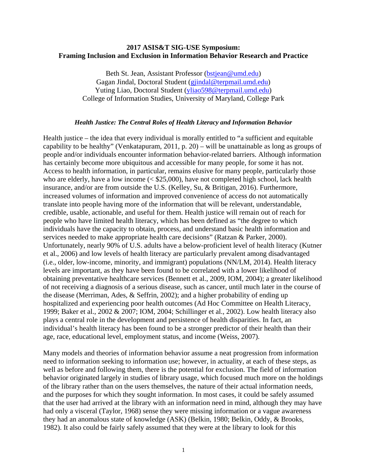## **2017 ASIS&T SIG-USE Symposium: Framing Inclusion and Exclusion in Information Behavior Research and Practice**

Beth St. Jean, Assistant Professor [\(bstjean@umd.edu\)](mailto:bstjean@umd.edu) Gagan Jindal, Doctoral Student [\(gjindal@terpmail.umd.edu\)](mailto:gjindal@terpmail.umd.edu) Yuting Liao, Doctoral Student [\(yliao598@terpmail.umd.edu\)](mailto:yliao598@terpmail.umd.edu) College of Information Studies, University of Maryland, College Park

## *Health Justice: The Central Roles of Health Literacy and Information Behavior*

Health justice – the idea that every individual is morally entitled to "a sufficient and equitable capability to be healthy" (Venkatapuram, 2011, p. 20) – will be unattainable as long as groups of people and/or individuals encounter information behavior-related barriers. Although information has certainly become more ubiquitous and accessible for many people, for some it has not. Access to health information, in particular, remains elusive for many people, particularly those who are elderly, have a low income (<  $$25,000$ ), have not completed high school, lack health insurance, and/or are from outside the U.S. (Kelley, Su, & Britigan, 2016). Furthermore, increased volumes of information and improved convenience of access do not automatically translate into people having more of the information that will be relevant, understandable, credible, usable, actionable, and useful for them. Health justice will remain out of reach for people who have limited health literacy, which has been defined as "the degree to which individuals have the capacity to obtain, process, and understand basic health information and services needed to make appropriate health care decisions" (Ratzan & Parker, 2000). Unfortunately, nearly 90% of U.S. adults have a below-proficient level of health literacy (Kutner et al., 2006) and low levels of health literacy are particularly prevalent among disadvantaged (i.e., older, low-income, minority, and immigrant) populations (NN/LM, 2014). Health literacy levels are important, as they have been found to be correlated with a lower likelihood of obtaining preventative healthcare services (Bennett et al., 2009, IOM, 2004); a greater likelihood of not receiving a diagnosis of a serious disease, such as cancer, until much later in the course of the disease (Merriman, Ades, & Seffrin, 2002); and a higher probability of ending up hospitalized and experiencing poor health outcomes (Ad Hoc Committee on Health Literacy, 1999; Baker et al., 2002 & 2007; IOM, 2004; Schillinger et al., 2002). Low health literacy also plays a central role in the development and persistence of health disparities. In fact, an individual's health literacy has been found to be a stronger predictor of their health than their age, race, educational level, employment status, and income (Weiss, 2007).

Many models and theories of information behavior assume a neat progression from information need to information seeking to information use; however, in actuality, at each of these steps, as well as before and following them, there is the potential for exclusion. The field of information behavior originated largely in studies of library usage, which focused much more on the holdings of the library rather than on the users themselves, the nature of their actual information needs, and the purposes for which they sought information. In most cases, it could be safely assumed that the user had arrived at the library with an information need in mind, although they may have had only a visceral (Taylor, 1968) sense they were missing information or a vague awareness they had an anomalous state of knowledge (ASK) (Belkin, 1980; Belkin, Oddy, & Brooks, 1982). It also could be fairly safely assumed that they were at the library to look for this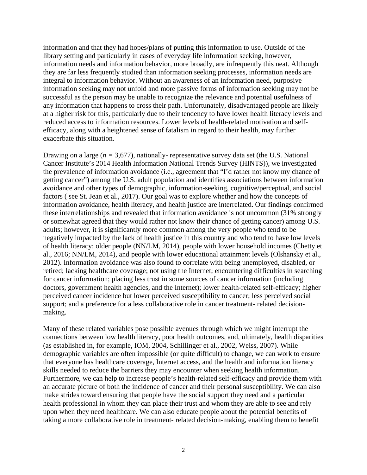information and that they had hopes/plans of putting this information to use. Outside of the library setting and particularly in cases of everyday life information seeking, however, information needs and information behavior, more broadly, are infrequently this neat. Although they are far less frequently studied than information seeking processes, information needs are integral to information behavior. Without an awareness of an information need, purposive information seeking may not unfold and more passive forms of information seeking may not be successful as the person may be unable to recognize the relevance and potential usefulness of any information that happens to cross their path. Unfortunately, disadvantaged people are likely at a higher risk for this, particularly due to their tendency to have lower health literacy levels and reduced access to information resources. Lower levels of health-related motivation and selfefficacy, along with a heightened sense of fatalism in regard to their health, may further exacerbate this situation.

Drawing on a large (*n =* 3,677), nationally- representative survey data set (the U.S. National Cancer Institute's 2014 Health Information National Trends Survey (HINTS)), we investigated the prevalence of information avoidance (i.e., agreement that "I'd rather not know my chance of getting cancer") among the U.S. adult population and identifies associations between information avoidance and other types of demographic, information-seeking, cognitive/perceptual, and social factors ( see St. Jean et al., 2017). Our goal was to explore whether and how the concepts of information avoidance, health literacy, and health justice are interrelated. Our findings confirmed these interrelationships and revealed that information avoidance is not uncommon (31% strongly or somewhat agreed that they would rather not know their chance of getting cancer) among U.S. adults; however, it is significantly more common among the very people who tend to be negatively impacted by the lack of health justice in this country and who tend to have low levels of health literacy: older people (NN/LM, 2014), people with lower household incomes (Chetty et al., 2016; NN/LM, 2014), and people with lower educational attainment levels (Olshansky et al., 2012). Information avoidance was also found to correlate with being unemployed, disabled, or retired; lacking healthcare coverage; not using the Internet; encountering difficulties in searching for cancer information; placing less trust in some sources of cancer information (including doctors, government health agencies, and the Internet); lower health-related self-efficacy; higher perceived cancer incidence but lower perceived susceptibility to cancer; less perceived social support; and a preference for a less collaborative role in cancer treatment- related decisionmaking.

Many of these related variables pose possible avenues through which we might interrupt the connections between low health literacy, poor health outcomes, and, ultimately, health disparities (as established in, for example, IOM, 2004, Schillinger et al., 2002, Weiss, 2007). While demographic variables are often impossible (or quite difficult) to change, we can work to ensure that everyone has healthcare coverage, Internet access, and the health and information literacy skills needed to reduce the barriers they may encounter when seeking health information. Furthermore, we can help to increase people's health-related self-efficacy and provide them with an accurate picture of both the incidence of cancer and their personal susceptibility. We can also make strides toward ensuring that people have the social support they need and a particular health professional in whom they can place their trust and whom they are able to see and rely upon when they need healthcare. We can also educate people about the potential benefits of taking a more collaborative role in treatment- related decision-making, enabling them to benefit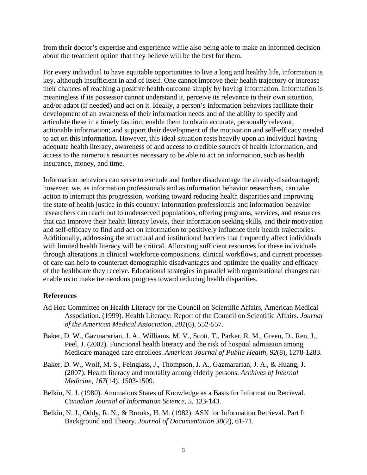from their doctor's expertise and experience while also being able to make an informed decision about the treatment option that they believe will be the best for them.

For every individual to have equitable opportunities to live a long and healthy life, information is key, although insufficient in and of itself. One cannot improve their health trajectory or increase their chances of reaching a positive health outcome simply by having information. Information is meaningless if its possessor cannot understand it, perceive its relevance to their own situation, and/or adapt (if needed) and act on it. Ideally, a person's information behaviors facilitate their development of an awareness of their information needs and of the ability to specify and articulate these in a timely fashion; enable them to obtain accurate, personally relevant, actionable information; and support their development of the motivation and self-efficacy needed to act on this information. However, this ideal situation rests heavily upon an individual having adequate health literacy, awareness of and access to credible sources of health information, and access to the numerous resources necessary to be able to act on information, such as health insurance, money, and time.

Information behaviors can serve to exclude and further disadvantage the already-disadvantaged; however, we, as information professionals and as information behavior researchers, can take action to interrupt this progression, working toward reducing health disparities and improving the state of health justice in this country. Information professionals and information behavior researchers can reach out to underserved populations, offering programs, services, and resources that can improve their health literacy levels, their information seeking skills, and their motivation and self-efficacy to find and act on information to positively influence their health trajectories. Additionally, addressing the structural and institutional barriers that frequently affect individuals with limited health literacy will be critical. Allocating sufficient resources for these individuals through alterations in clinical workforce compositions, clinical workflows, and current processes of care can help to counteract demographic disadvantages and optimize the quality and efficacy of the healthcare they receive. Educational strategies in parallel with organizational changes can enable us to make tremendous progress toward reducing health disparities.

## **References**

- Ad Hoc Committee on Health Literacy for the Council on Scientific Affairs, American Medical Association. (1999). Health Literacy: Report of the Council on Scientific Affairs. *Journal of the American Medical Association, 281*(6), 552-557.
- Baker, D. W., Gazmararian, J. A., Williams, M. V., Scott, T., Parker, R. M., Green, D., Ren, J., Peel, J. (2002). Functional health literacy and the risk of hospital admission among Medicare managed care enrollees. *American Journal of Public Health, 92*(8), 1278-1283.
- Baker, D. W., Wolf, M. S., Feinglass, J., Thompson, J. A., Gazmararian, J. A., & Huang, J. (2007). Health literacy and mortality among elderly persons. *Archives of Internal Medicine, 167*(14), 1503-1509.
- Belkin, N. J. (1980). Anomalous States of Knowledge as a Basis for Information Retrieval. *Canadian Journal of Information Science, 5,* 133-143.
- Belkin, N. J., Oddy, R. N., & Brooks, H. M. (1982). ASK for Information Retrieval. Part I: Background and Theory. *Journal of Documentation 38*(2), 61-71.